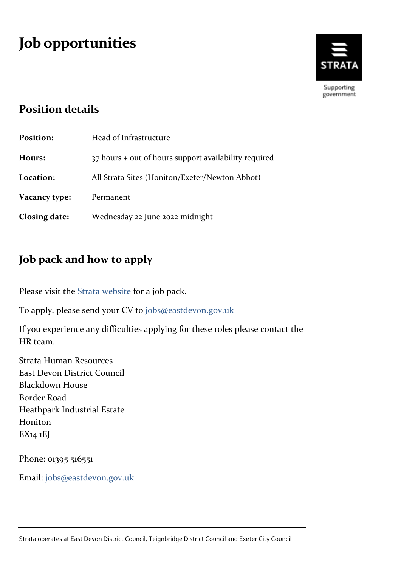

Supporting government

# **Position details**

| <b>Position:</b> | Head of Infrastructure                                |
|------------------|-------------------------------------------------------|
| Hours:           | 37 hours + out of hours support availability required |
| Location:        | All Strata Sites (Honiton/Exeter/Newton Abbot)        |
| Vacancy type:    | Permanent                                             |
| Closing date:    | Wednesday 22 June 2022 midnight                       |

# **Job pack and how to apply**

Please visit the **Strata** website for a job pack.

To apply, please send your CV to jobs@eastdevon.gov.uk

If you experience any difficulties applying for these roles please contact the HR team.

Strata Human Resources East Devon District Council Blackdown House Border Road Heathpark Industrial Estate Honiton EX14 1EJ

Phone: 01395 516551

Email: jobs@eastdevon.gov.uk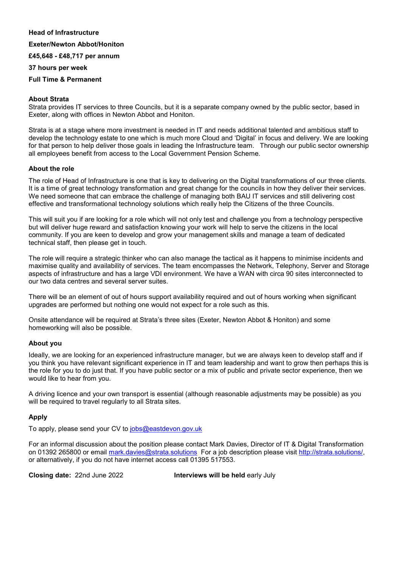#### **Head of Infrastructure**

#### **Exeter/Newton Abbot/Honiton**

#### **£45,648 - £48,717 per annum**

#### **37 hours per week**

#### **Full Time & Permanent**

#### **About Strata**

Strata provides IT services to three Councils, but it is a separate company owned by the public sector, based in Exeter, along with offices in Newton Abbot and Honiton.

Strata is at a stage where more investment is needed in IT and needs additional talented and ambitious staff to develop the technology estate to one which is much more Cloud and 'Digital' in focus and delivery. We are looking for that person to help deliver those goals in leading the Infrastructure team. Through our public sector ownership all employees benefit from access to the Local Government Pension Scheme.

#### **About the role**

The role of Head of Infrastructure is one that is key to delivering on the Digital transformations of our three clients. It is a time of great technology transformation and great change for the councils in how they deliver their services. We need someone that can embrace the challenge of managing both BAU IT services and still delivering cost effective and transformational technology solutions which really help the Citizens of the three Councils.

This will suit you if are looking for a role which will not only test and challenge you from a technology perspective but will deliver huge reward and satisfaction knowing your work will help to serve the citizens in the local community. If you are keen to develop and grow your management skills and manage a team of dedicated technical staff, then please get in touch.

The role will require a strategic thinker who can also manage the tactical as it happens to minimise incidents and maximise quality and availability of services. The team encompasses the Network, Telephony, Server and Storage aspects of infrastructure and has a large VDI environment. We have a WAN with circa 90 sites interconnected to our two data centres and several server suites.

There will be an element of out of hours support availability required and out of hours working when significant upgrades are performed but nothing one would not expect for a role such as this.

Onsite attendance will be required at Strata's three sites (Exeter, Newton Abbot & Honiton) and some homeworking will also be possible.

#### **About you**

Ideally, we are looking for an experienced infrastructure manager, but we are always keen to develop staff and if you think you have relevant significant experience in IT and team leadership and want to grow then perhaps this is the role for you to do just that. If you have public sector or a mix of public and private sector experience, then we would like to hear from you.

A driving licence and your own transport is essential (although reasonable adjustments may be possible) as you will be required to travel regularly to all Strata sites.

#### **Apply**

To apply, please send your CV to jobs@eastdevon.gov.uk

For an informal discussion about the position please contact Mark Davies, Director of IT & Digital Transformation on 01392 265800 or email mark.davies@strata.solutions For a job description please visit http://strata.solutions/, or alternatively, if you do not have internet access call 01395 517553.

**Closing date:** 22nd June 2022 **Interviews will be held** early July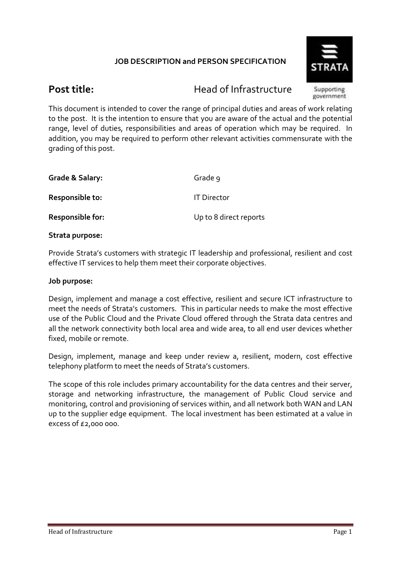# **JOB DESCRIPTION and PERSON SPECIFICATION**



**Post title:** Head of Infrastructure

Supporting government

This document is intended to cover the range of principal duties and areas of work relating to the post. It is the intention to ensure that you are aware of the actual and the potential range, level of duties, responsibilities and areas of operation which may be required. In addition, you may be required to perform other relevant activities commensurate with the grading of this post.

| Grade 9                |
|------------------------|
| <b>IT Director</b>     |
| Up to 8 direct reports |
|                        |

**Strata purpose:** 

Provide Strata's customers with strategic IT leadership and professional, resilient and cost effective IT services to help them meet their corporate objectives.

## **Job purpose:**

Design, implement and manage a cost effective, resilient and secure ICT infrastructure to meet the needs of Strata's customers. This in particular needs to make the most effective use of the Public Cloud and the Private Cloud offered through the Strata data centres and all the network connectivity both local area and wide area, to all end user devices whether fixed, mobile or remote.

Design, implement, manage and keep under review a, resilient, modern, cost effective telephony platform to meet the needs of Strata's customers.

The scope of this role includes primary accountability for the data centres and their server, storage and networking infrastructure, the management of Public Cloud service and monitoring, control and provisioning of services within, and all network both WAN and LAN up to the supplier edge equipment. The local investment has been estimated at a value in excess of £2,000 000.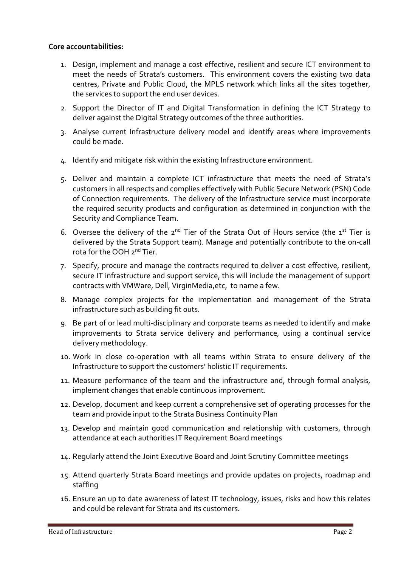## **Core accountabilities:**

- 1. Design, implement and manage a cost effective, resilient and secure ICT environment to meet the needs of Strata's customers. This environment covers the existing two data centres, Private and Public Cloud, the MPLS network which links all the sites together, the services to support the end user devices.
- 2. Support the Director of IT and Digital Transformation in defining the ICT Strategy to deliver against the Digital Strategy outcomes of the three authorities.
- 3. Analyse current Infrastructure delivery model and identify areas where improvements could be made.
- 4. Identify and mitigate risk within the existing Infrastructure environment.
- 5. Deliver and maintain a complete ICT infrastructure that meets the need of Strata's customers in all respects and complies effectively with Public Secure Network (PSN) Code of Connection requirements. The delivery of the Infrastructure service must incorporate the required security products and configuration as determined in conjunction with the Security and Compliance Team.
- 6. Oversee the delivery of the  $2^{nd}$  Tier of the Strata Out of Hours service (the  $1^{st}$  Tier is delivered by the Strata Support team). Manage and potentially contribute to the on-call rota for the OOH 2<sup>nd</sup> Tier.
- 7. Specify, procure and manage the contracts required to deliver a cost effective, resilient, secure IT infrastructure and support service, this will include the management of support contracts with VMWare, Dell, VirginMedia,etc, to name a few.
- 8. Manage complex projects for the implementation and management of the Strata infrastructure such as building fit outs.
- 9. Be part of or lead multi-disciplinary and corporate teams as needed to identify and make improvements to Strata service delivery and performance, using a continual service delivery methodology.
- 10. Work in close co-operation with all teams within Strata to ensure delivery of the Infrastructure to support the customers' holistic IT requirements.
- 11. Measure performance of the team and the infrastructure and, through formal analysis, implement changes that enable continuous improvement.
- 12. Develop, document and keep current a comprehensive set of operating processes for the team and provide input to the Strata Business Continuity Plan
- 13. Develop and maintain good communication and relationship with customers, through attendance at each authorities IT Requirement Board meetings
- 14. Regularly attend the Joint Executive Board and Joint Scrutiny Committee meetings
- 15. Attend quarterly Strata Board meetings and provide updates on projects, roadmap and staffing
- 16. Ensure an up to date awareness of latest IT technology, issues, risks and how this relates and could be relevant for Strata and its customers.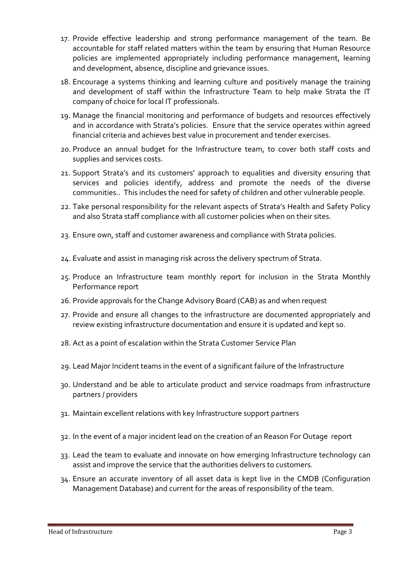- 17. Provide effective leadership and strong performance management of the team. Be accountable for staff related matters within the team by ensuring that Human Resource policies are implemented appropriately including performance management, learning and development, absence, discipline and grievance issues.
- 18. Encourage a systems thinking and learning culture and positively manage the training and development of staff within the Infrastructure Team to help make Strata the IT company of choice for local IT professionals.
- 19. Manage the financial monitoring and performance of budgets and resources effectively and in accordance with Strata's policies. Ensure that the service operates within agreed financial criteria and achieves best value in procurement and tender exercises.
- 20. Produce an annual budget for the Infrastructure team, to cover both staff costs and supplies and services costs.
- 21. Support Strata's and its customers' approach to equalities and diversity ensuring that services and policies identify, address and promote the needs of the diverse communities.. This includes the need for safety of children and other vulnerable people.
- 22. Take personal responsibility for the relevant aspects of Strata's Health and Safety Policy and also Strata staff compliance with all customer policies when on their sites.
- 23. Ensure own, staff and customer awareness and compliance with Strata policies.
- 24. Evaluate and assist in managing risk across the delivery spectrum of Strata.
- 25. Produce an Infrastructure team monthly report for inclusion in the Strata Monthly Performance report
- 26. Provide approvals for the Change Advisory Board (CAB) as and when request
- 27. Provide and ensure all changes to the infrastructure are documented appropriately and review existing infrastructure documentation and ensure it is updated and kept so.
- 28. Act as a point of escalation within the Strata Customer Service Plan
- 29. Lead Major Incident teams in the event of a significant failure of the Infrastructure
- 30. Understand and be able to articulate product and service roadmaps from infrastructure partners / providers
- 31. Maintain excellent relations with key Infrastructure support partners
- 32. In the event of a major incident lead on the creation of an Reason For Outage report
- 33. Lead the team to evaluate and innovate on how emerging Infrastructure technology can assist and improve the service that the authorities delivers to customers.
- 34. Ensure an accurate inventory of all asset data is kept live in the CMDB (Configuration Management Database) and current for the areas of responsibility of the team.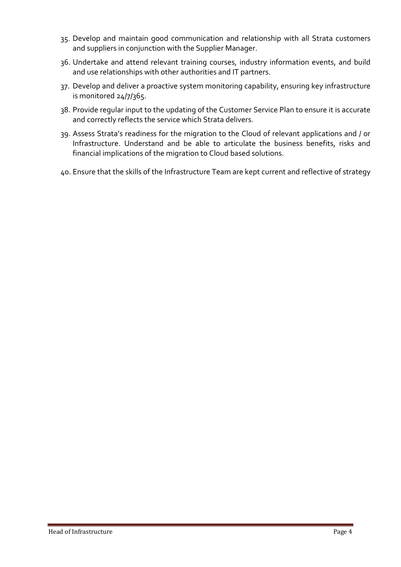- 35. Develop and maintain good communication and relationship with all Strata customers and suppliers in conjunction with the Supplier Manager.
- 36. Undertake and attend relevant training courses, industry information events, and build and use relationships with other authorities and IT partners.
- 37. Develop and deliver a proactive system monitoring capability, ensuring key infrastructure is monitored 24/7/365.
- 38. Provide regular input to the updating of the Customer Service Plan to ensure it is accurate and correctly reflects the service which Strata delivers.
- 39. Assess Strata's readiness for the migration to the Cloud of relevant applications and / or Infrastructure. Understand and be able to articulate the business benefits, risks and financial implications of the migration to Cloud based solutions.
- 40. Ensure that the skills of the Infrastructure Team are kept current and reflective of strategy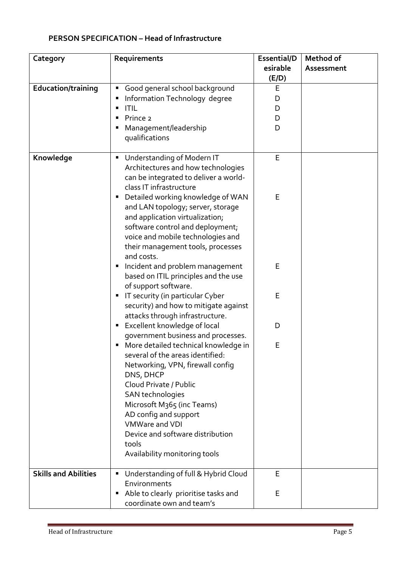# **PERSON SPECIFICATION – Head of Infrastructure**

| Category                    | Requirements                                                                                                                                                                                                                                                                                                                   | Essential/D<br>esirable | Method of<br>Assessment |
|-----------------------------|--------------------------------------------------------------------------------------------------------------------------------------------------------------------------------------------------------------------------------------------------------------------------------------------------------------------------------|-------------------------|-------------------------|
|                             |                                                                                                                                                                                                                                                                                                                                | (E/D)                   |                         |
| <b>Education/training</b>   | Good general school background<br>Information Technology degree<br><b>ITIL</b><br>٠<br>Prince 2<br>Management/leadership<br>qualifications                                                                                                                                                                                     | E<br>D<br>D<br>D<br>D   |                         |
| Knowledge                   | Understanding of Modern IT<br>ш<br>Architectures and how technologies<br>can be integrated to deliver a world-<br>class IT infrastructure<br>Detailed working knowledge of WAN<br>and LAN topology; server, storage<br>and application virtualization;<br>software control and deployment;                                     | E<br>E                  |                         |
|                             | voice and mobile technologies and<br>their management tools, processes<br>and costs.<br>Incident and problem management<br>based on ITIL principles and the use<br>of support software.                                                                                                                                        | E                       |                         |
|                             | IT security (in particular Cyber<br>п<br>security) and how to mitigate against<br>attacks through infrastructure.                                                                                                                                                                                                              | E                       |                         |
|                             | Excellent knowledge of local<br>п<br>government business and processes.                                                                                                                                                                                                                                                        | D                       |                         |
|                             | More detailed technical knowledge in<br>several of the areas identified:<br>Networking, VPN, firewall config<br>DNS, DHCP<br>Cloud Private / Public<br>SAN technologies<br>Microsoft M365 (inc Teams)<br>AD config and support<br>VMWare and VDI<br>Device and software distribution<br>tools<br>Availability monitoring tools | E                       |                         |
| <b>Skills and Abilities</b> | Understanding of full & Hybrid Cloud<br>ш<br>Environments<br>Able to clearly prioritise tasks and<br>п<br>coordinate own and team's                                                                                                                                                                                            | E<br>E                  |                         |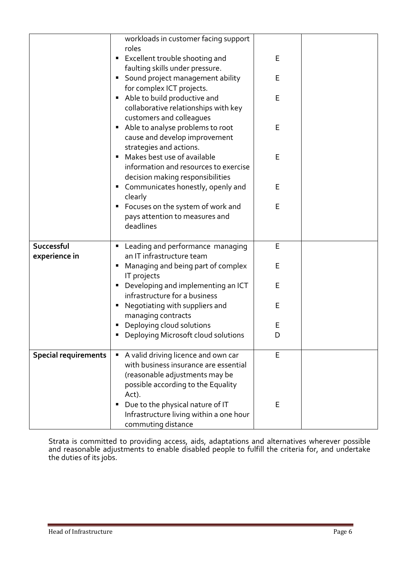|                             | workloads in customer facing support                                      |   |  |
|-----------------------------|---------------------------------------------------------------------------|---|--|
|                             | roles<br><b>Excellent trouble shooting and</b>                            | E |  |
|                             | faulting skills under pressure.                                           |   |  |
|                             | Sound project management ability                                          | E |  |
|                             | for complex ICT projects.                                                 |   |  |
|                             | Able to build productive and                                              | E |  |
|                             | collaborative relationships with key                                      |   |  |
|                             | customers and colleagues                                                  |   |  |
|                             | Able to analyse problems to root                                          | E |  |
|                             | cause and develop improvement                                             |   |  |
|                             | strategies and actions.                                                   |   |  |
|                             | Makes best use of available                                               | E |  |
|                             | information and resources to exercise<br>decision making responsibilities |   |  |
|                             | Communicates honestly, openly and                                         | Е |  |
|                             | clearly                                                                   |   |  |
|                             | Focuses on the system of work and                                         | E |  |
|                             | pays attention to measures and                                            |   |  |
|                             | deadlines                                                                 |   |  |
|                             |                                                                           |   |  |
| Successful                  | Leading and performance managing                                          | E |  |
| experience in               | an IT infrastructure team                                                 |   |  |
|                             | Managing and being part of complex<br>IT projects                         | E |  |
|                             | Developing and implementing an ICT                                        | E |  |
|                             | infrastructure for a business                                             |   |  |
|                             | Negotiating with suppliers and                                            | E |  |
|                             | managing contracts                                                        |   |  |
|                             | Deploying cloud solutions                                                 | E |  |
|                             | Deploying Microsoft cloud solutions                                       | D |  |
| <b>Special requirements</b> | A valid driving licence and own car<br>$\blacksquare$                     | E |  |
|                             | with business insurance are essential                                     |   |  |
|                             | (reasonable adjustments may be                                            |   |  |
|                             | possible according to the Equality                                        |   |  |
|                             | Act).<br>Due to the physical nature of IT                                 | E |  |
|                             | Infrastructure living within a one hour                                   |   |  |
|                             | commuting distance                                                        |   |  |

Strata is committed to providing access, aids, adaptations and alternatives wherever possible and reasonable adjustments to enable disabled people to fulfill the criteria for, and undertake the duties of its jobs.